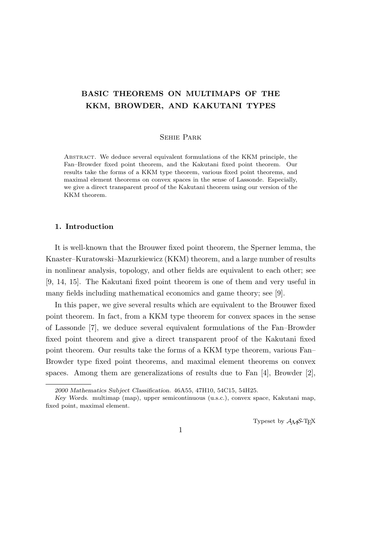# **BASIC THEOREMS ON MULTIMAPS OF THE KKM, BROWDER, AND KAKUTANI TYPES**

#### Sehie Park

Abstract. We deduce several equivalent formulations of the KKM principle, the Fan–Browder fixed point theorem, and the Kakutani fixed point theorem. Our results take the forms of a KKM type theorem, various fixed point theorems, and maximal element theorems on convex spaces in the sense of Lassonde. Especially, we give a direct transparent proof of the Kakutani theorem using our version of the KKM theorem.

## **1. Introduction**

It is well-known that the Brouwer fixed point theorem, the Sperner lemma, the Knaster–Kuratowski–Mazurkiewicz (KKM) theorem, and a large number of results in nonlinear analysis, topology, and other fields are equivalent to each other; see [9, 14, 15]. The Kakutani fixed point theorem is one of them and very useful in many fields including mathematical economics and game theory; see [9].

In this paper, we give several results which are equivalent to the Brouwer fixed point theorem. In fact, from a KKM type theorem for convex spaces in the sense of Lassonde [7], we deduce several equivalent formulations of the Fan–Browder fixed point theorem and give a direct transparent proof of the Kakutani fixed point theorem. Our results take the forms of a KKM type theorem, various Fan– Browder type fixed point theorems, and maximal element theorems on convex spaces. Among them are generalizations of results due to Fan  $[4]$ , Browder  $[2]$ ,

Typeset by  $A_{\mathcal{M}}S$ -T<sub>E</sub>X

*<sup>2000</sup> Mathematics Subject Classification*. 46A55, 47H10, 54C15, 54H25.

*Key Words*. multimap (map), upper semicontinuous (u.s.c.), convex space, Kakutani map, fixed point, maximal element.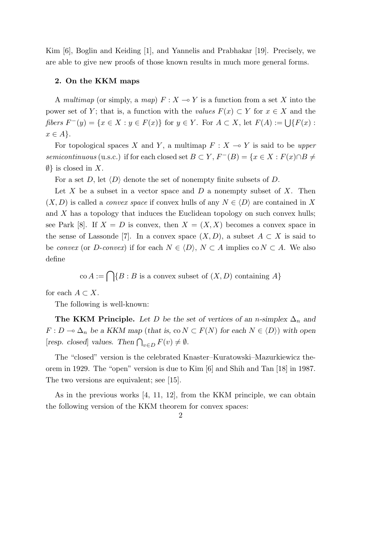Kim [6], Boglin and Keiding [1], and Yannelis and Prabhakar [19]. Precisely, we are able to give new proofs of those known results in much more general forms.

### **2. On the KKM maps**

A *multimap* (or simply, a *map*)  $F: X \to Y$  is a function from a set X into the power set of *Y*; that is, a function with the *values*  $F(x) \subset Y$  for  $x \in X$  and the fibers  $F^-(y) = \{x \in X : y \in F(x)\}\$ for  $y \in Y$ . For  $A \subset X$ , let  $F(A) := \bigcup \{F(x) :$ *x ∈ A}*.

For topological spaces *X* and *Y*, a multimap  $F: X \to Y$  is said to be *upper semicontinuous* (u.s.c.) if for each closed set  $B \subset Y$ ,  $F^{-}(B) = \{x \in X : F(x) \cap B \neq$ *∅}* is closed in *X*.

For a set *D*, let *⟨D⟩* denote the set of nonempty finite subsets of *D*.

Let *X* be a subset in a vector space and *D* a nonempty subset of *X*. Then  $(X, D)$  is called a *convex space* if convex hulls of any  $N \in \langle D \rangle$  are contained in X and *X* has a topology that induces the Euclidean topology on such convex hulls; see Park [8]. If  $X = D$  is convex, then  $X = (X, X)$  becomes a convex space in the sense of Lassonde [7]. In a convex space  $(X, D)$ , a subset  $A \subset X$  is said to be *convex* (or *D*-*convex*) if for each  $N \in \langle D \rangle$ ,  $N \subset A$  implies co  $N \subset A$ . We also define

$$
\text{co } A := \bigcap \{ B : B \text{ is a convex subset of } (X, D) \text{ containing } A \}
$$

for each  $A \subset X$ .

The following is well-known:

**The KKM Principle.** Let *D* be the set of vertices of an *n*-simplex  $\Delta_n$  and *F* : *D* →  $\Delta_n$  *be a KKM map* (*that is,* co *N* ⊂ *F*(*N*) *for each N* ∈  $\langle D \rangle$ ) *with open*  $[resp. closed]$  *values. Then*  $\bigcap_{v \in D} F(v) \neq \emptyset$ *.* 

The "closed" version is the celebrated Knaster–Kuratowski–Mazurkiewicz theorem in 1929. The "open" version is due to Kim [6] and Shih and Tan [18] in 1987. The two versions are equivalent; see [15].

As in the previous works  $[4, 11, 12]$ , from the KKM principle, we can obtain the following version of the KKM theorem for convex spaces: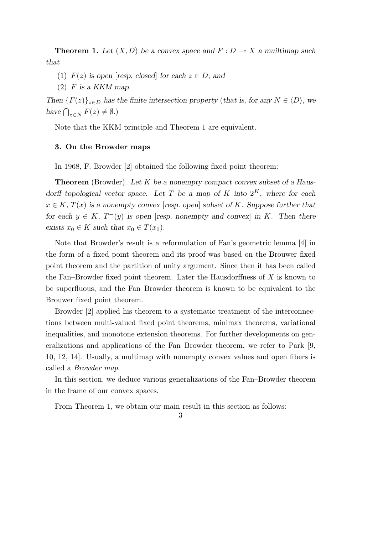**Theorem 1.** Let  $(X, D)$  be a convex space and  $F: D \to X$  a muiltimap such *that*

- (1)  $F(z)$  is open [*resp. closed*] for each  $z \in D$ ; and
- (2) *F is a KKM map.*

*Then*  ${F(z)}_{z \in D}$  *has the finite intersection property* (*that is, for any*  $N \in \langle D \rangle$ *, we have*  $\bigcap_{z \in N} F(z) \neq \emptyset$ *.*)

Note that the KKM principle and Theorem 1 are equivalent.

## **3. On the Browder maps**

In 1968, F. Browder [2] obtained the following fixed point theorem:

**Theorem** (Browder). *Let K be a nonempty compact convex subset of a Hausdorff topological vector space.* Let *T be a map of K into*  $2^K$ *, where for each*  $x \in K$ ,  $T(x)$  *is a nonempty convex* [*resp. open*] *subset of K. Suppose further that for each*  $y \in K$ ,  $T^-(y)$  *is open* [*resp. nonempty and convex*] *in K. Then there exists*  $x_0 \in K$  *such that*  $x_0 \in T(x_0)$ *.* 

Note that Browder's result is a reformulation of Fan's geometric lemma [4] in the form of a fixed point theorem and its proof was based on the Brouwer fixed point theorem and the partition of unity argument. Since then it has been called the Fan–Browder fixed point theorem. Later the Hausdorffness of *X* is known to be superfluous, and the Fan–Browder theorem is known to be equivalent to the Brouwer fixed point theorem.

Browder [2] applied his theorem to a systematic treatment of the interconnections between multi-valued fixed point theorems, minimax theorems, variational inequalities, and monotone extension theorems. For further developments on generalizations and applications of the Fan–Browder theorem, we refer to Park [9, 10, 12, 14]. Usually, a multimap with nonempty convex values and open fibers is called a *Browder map*.

In this section, we deduce various generalizations of the Fan–Browder theorem in the frame of our convex spaces.

From Theorem 1, we obtain our main result in this section as follows: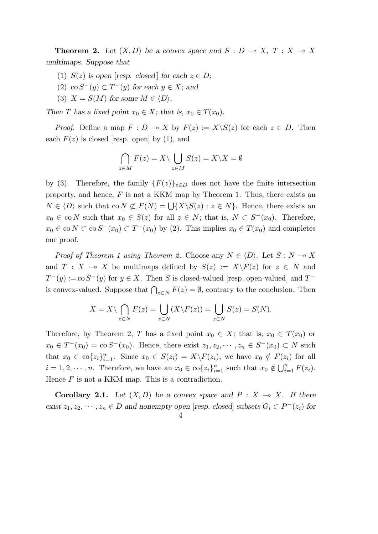**Theorem 2.** Let  $(X, D)$  be a convex space and  $S : D \to X$ ,  $T : X \to X$ *multimaps. Suppose that*

- (1)  $S(z)$  *is open* [*resp. closed*] *for each*  $z \in D$ ;
- (2) co  $S^{-}(y)$  ⊂  $T^{-}(y)$  for each  $y \in X$ ; and
- (3)  $X = S(M)$  for some  $M \in \langle D \rangle$ .

*Then T* has a fixed point  $x_0 \in X$ ; that is,  $x_0 \in T(x_0)$ .

*Proof.* Define a map  $F: D \to X$  by  $F(z) := X \setminus S(z)$  for each  $z \in D$ . Then each  $F(z)$  is closed [resp. open] by (1), and

$$
\bigcap_{z \in M} F(z) = X \setminus \bigcup_{z \in M} S(z) = X \setminus X = \emptyset
$$

by (3). Therefore, the family  ${F(z)}_{z \in D}$  does not have the finite intersection property, and hence, *F* is not a KKM map by Theorem 1. Thus, there exists an  $N \in \langle D \rangle$  such that co  $N \not\subset F(N) = \bigcup \{X \setminus S(z) : z \in N\}$ . Hence, there exists an  $x_0 \in \text{co } N$  such that  $x_0 \in S(z)$  for all  $z \in N$ ; that is,  $N \subset S^{-}(x_0)$ . Therefore,  $x_0 \in \text{co } N \subset \text{co } S^ (x_0) \subset T^ (x_0)$  by (2). This implies  $x_0 \in T$   $(x_0)$  and completes our proof.

*Proof of Theorem 1 using Theorem 2.* Choose any  $N \in \langle D \rangle$ . Let  $S : N \to X$ and  $T : X \multimap X$  be multimaps defined by  $S(z) := X \backslash F(z)$  for  $z \in N$  and  $T^-(y) := \cos S^-(y)$  for  $y \in X$ . Then *S* is closed-valued [resp. open-valued] and  $T^$ is convex-valued. Suppose that  $\bigcap_{z \in N} F(z) = \emptyset$ , contrary to the conclusion. Then

$$
X = X \setminus \bigcap_{z \in N} F(z) = \bigcup_{z \in N} (X \setminus F(z)) = \bigcup_{z \in N} S(z) = S(N).
$$

Therefore, by Theorem 2, *T* has a fixed point  $x_0 \in X$ ; that is,  $x_0 \in T(x_0)$  or *x*<sub>0</sub> ∈ *T*<sup>−</sup>(*x*<sub>0</sub>) = co *S*<sup>−</sup>(*x*<sub>0</sub>). Hence, there exist *z*<sub>1</sub>*, z*<sub>2</sub>*,*  $\cdots$  *, z<sub>n</sub>* ∈ *S*<sup>−</sup>(*x*<sub>0</sub>) ⊂ *N* such that  $x_0 \in \text{co}\{z_i\}_{i=1}^n$ . Since  $x_0 \in S(z_i) = X\backslash F(z_i)$ , we have  $x_0 \notin F(z_i)$  for all  $i = 1, 2, \dots, n$ . Therefore, we have an  $x_0 \in \text{co}\{z_i\}_{i=1}^n$  such that  $x_0 \notin \bigcup_{i=1}^n F(z_i)$ . Hence *F* is not a KKM map. This is a contradiction.

**Corollary 2.1.** Let  $(X, D)$  be a convex space and  $P : X \rightarrow X$ . If there exist  $z_1, z_2, \dots, z_n \in D$  and nonempty open [resp. closed] subsets  $G_i \subset P^-(z_i)$  for

$$
4\,
$$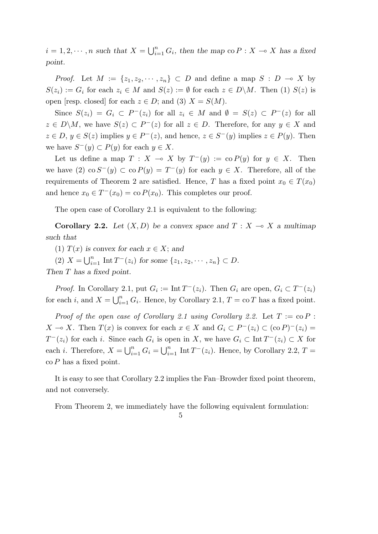$i = 1, 2, \dots, n$  such that  $X = \bigcup_{i=1}^{n} G_i$ , then the map co  $P: X \to X$  has a fixed *point.*

*Proof.* Let  $M := \{z_1, z_2, \dots, z_n\} \subset D$  and define a map  $S : D \to X$  by  $S(z_i) := G_i$  for each  $z_i \in M$  and  $S(z) := \emptyset$  for each  $z \in D \backslash M$ . Then (1)  $S(z)$  is open [resp. closed] for each  $z \in D$ ; and (3)  $X = S(M)$ .

Since  $S(z_i) = G_i \subset P^-(z_i)$  for all  $z_i \in M$  and  $\emptyset = S(z) \subset P^-(z)$  for all  $z \in D\backslash M$ , we have  $S(z) \subset P^{-}(z)$  for all  $z \in D$ . Therefore, for any  $y \in X$  and  $z \in D, y \in S(z)$  implies  $y \in P<sup>-</sup>(z)$ , and hence,  $z \in S<sup>-</sup>(y)$  implies  $z \in P(y)$ . Then  $\forall x \in S^{-}(y) \subset P(y)$  for each *y* ∈ *X*.

Let us define a map  $T : X \to X$  by  $T^-(y) := \text{co } P(y)$  for  $y \in X$ . Then we have (2) co  $S^{-}(y)$  ⊂ co  $P(y) = T^{-}(y)$  for each  $y \in X$ . Therefore, all of the requirements of Theorem 2 are satisfied. Hence, *T* has a fixed point  $x_0 \in T(x_0)$ and hence  $x_0 \in T^-(x_0) = \text{co } P(x_0)$ . This completes our proof.

The open case of Corollary 2.1 is equivalent to the following:

**Corollary 2.2.** Let  $(X, D)$  be a convex space and  $T : X \rightarrow X$  a multimap *such that*

(1)  $T(x)$  is convex for each  $x \in X$ ; and

 $(2)$   $X = \bigcup_{i=1}^{n} \text{Int } T^{-}(z_i)$  for some  $\{z_1, z_2, \dots, z_n\} \subset D$ .

*Then T has a fixed point.*

*Proof.* In Corollary 2.1, put  $G_i := \text{Int } T^-(z_i)$ . Then  $G_i$  are open,  $G_i \subset T^-(z_i)$ for each *i*, and  $X = \bigcup_{i=1}^{n} G_i$ . Hence, by Corollary 2.1,  $T = \text{co } T$  has a fixed point.

*Proof of the open case of Corollary 2.1 using Corollary 2.2.* Let  $T := \text{co } P$ : *X* → *X*. Then *T*(*x*) is convex for each  $x \in X$  and  $G_i \subset P^-(z_i) \subset (\text{co } P)^-(z_i) =$ *T*<sup>−</sup>(*z*<sub>*i*</sub>) for each *i*. Since each *G*<sup>*i*</sup> is open in *X*, we have  $G_i$  ⊂ Int  $T$ <sup>−</sup>(*z*<sub>*i*</sub>) ⊂ *X* for each *i*. Therefore,  $X = \bigcup_{i=1}^{n} G_i = \bigcup_{i=1}^{n} \text{Int } T^-(z_i)$ . Hence, by Corollary 2.2,  $T =$ co *P* has a fixed point.

It is easy to see that Corollary 2.2 implies the Fan–Browder fixed point theorem, and not conversely.

From Theorem 2, we immediately have the following equivalent formulation: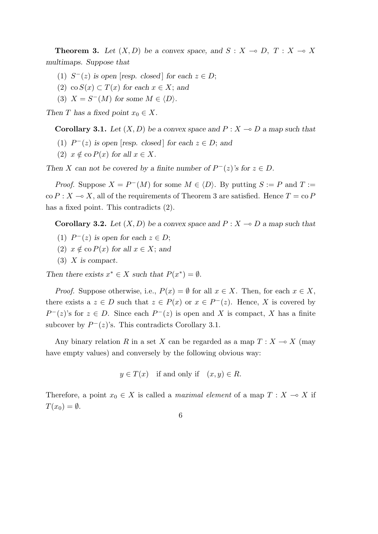**Theorem 3.** Let  $(X, D)$  be a convex space, and  $S: X \to D, T: X \to X$ *multimaps. Suppose that*

- (1)  $S<sup>−</sup>(z)$  is open [resp. closed] for each  $z \in D$ ;
- (2) co  $S(x)$  ⊂  $T(x)$  for each  $x \in X$ ; and
- (3)  $X = S^{-}(M)$  for some  $M \in \langle D \rangle$ .

*Then T* has a fixed point  $x_0 \in X$ .

**Corollary 3.1.** Let  $(X, D)$  be a convex space and  $P: X \to D$  a map such that

- (1)  $P^-(z)$  is open [resp. closed] for each  $z \in D$ ; and
- $(2)$   $x \notin \text{co } P(x)$  for all  $x \in X$ .

*Then X* can not be covered by a finite number of  $P^-(z)$ 's for  $z \in D$ .

*Proof.* Suppose  $X = P^{-}(M)$  for some  $M \in \langle D \rangle$ . By putting  $S := P$  and  $T :=$  $\text{co } P : X \to X$ , all of the requirements of Theorem 3 are satisfied. Hence  $T = \text{co } P$ has a fixed point. This contradicts (2).

**Corollary 3.2.** Let  $(X, D)$  be a convex space and  $P: X \to D$  a map such that

- (1)  $P<sup>−</sup>(z)$  is open for each  $z \in D$ ;
- (2)  $x \notin \text{co } P(x)$  for all  $x \in X$ ; and
- (3) *X is compact.*

*Then there exists*  $x^* \in X$  *such that*  $P(x^*) = \emptyset$ .

*Proof.* Suppose otherwise, i.e.,  $P(x) = \emptyset$  for all  $x \in X$ . Then, for each  $x \in X$ , there exists a  $z \in D$  such that  $z \in P(x)$  or  $x \in P^{-}(z)$ . Hence, X is covered by  $P^-(z)$ 's for  $z \in D$ . Since each  $P^-(z)$  is open and *X* is compact, *X* has a finite subcover by  $P^-(z)$ 's. This contradicts Corollary 3.1.

Any binary relation *R* in a set *X* can be regarded as a map  $T: X \to X$  (may have empty values) and conversely by the following obvious way:

$$
y \in T(x)
$$
 if and only if  $(x, y) \in R$ .

Therefore, a point  $x_0 \in X$  is called a *maximal element* of a map  $T : X \to X$  if  $T(x_0) = \emptyset$ .

6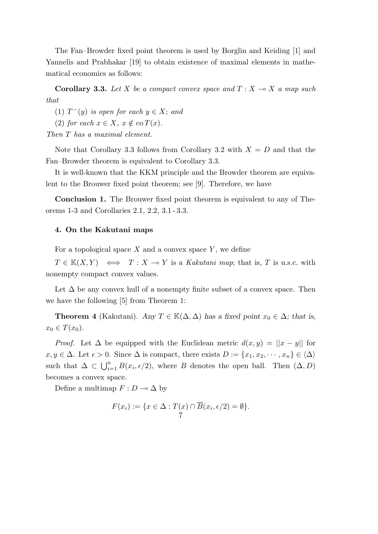The Fan–Browder fixed point theorem is used by Borglin and Keiding [1] and Yannelis and Prabhakar [19] to obtain existence of maximal elements in mathematical economics as follows:

**Corollary 3.3.** Let *X* be a compact convex space and  $T : X \to X$  a map such *that*

(1)  $T^-(y)$  *is open for each*  $y \in X$ ; *and* 

(2) *for each*  $x \in X$ *,*  $x \notin \text{co } T(x)$ *.* 

*Then T has a maximal element.*

Note that Corollary 3.3 follows from Corollary 3.2 with  $X = D$  and that the Fan–Browder theorem is equivalent to Corollary 3.3.

It is well-known that the KKM principle and the Browder theorem are equivalent to the Brouwer fixed point theorem; see [9]. Therefore, we have

**Conclusion 1.** The Brouwer fixed point theorem is equivalent to any of Theorems 1-3 and Corollaries 2.1, 2.2, 3.1 - 3.3.

## **4. On the Kakutani maps**

For a topological space *X* and a convex space *Y* , we define

 $T \in K(X, Y) \iff T : X \to Y$  is a *Kakutani map*; that is, *T* is u.s.c. with nonempty compact convex values.

Let  $\Delta$  be any convex hull of a nonempty finite subset of a convex space. Then we have the following [5] from Theorem 1:

**Theorem 4** (Kakutani). *Any*  $T \in \mathbb{K}(\Delta, \Delta)$  *has a fixed point*  $x_0 \in \Delta$ *; that is,*  $x_0 \in T(x_0)$ .

*Proof.* Let  $\Delta$  be equipped with the Euclidean metric  $d(x, y) = ||x - y||$  for  $x, y \in \Delta$ . Let  $\epsilon > 0$ . Since  $\Delta$  is compact, there exists  $D := \{x_1, x_2, \dots, x_n\} \in \langle \Delta \rangle$ such that  $\Delta \subset \bigcup_{i=1}^n B(x_i, \epsilon/2)$ , where *B* denotes the open ball. Then  $(\Delta, D)$ becomes a convex space.

Define a multimap  $F: D \to \Delta$  by

$$
F(x_i) := \{ x \in \Delta : T(x) \cap \overline{B}(x_i, \epsilon/2) = \emptyset \}.
$$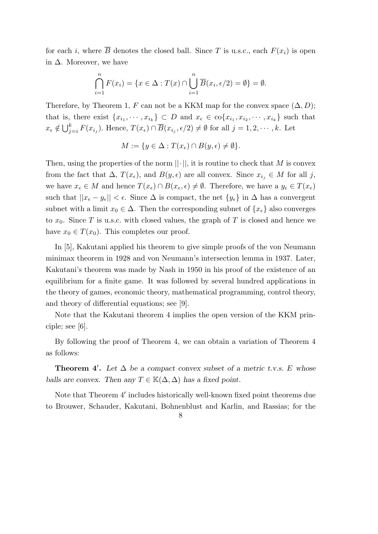for each *i*, where  $\overline{B}$  denotes the closed ball. Since *T* is u.s.c., each  $F(x_i)$  is open in  $\Delta$ . Moreover, we have

$$
\bigcap_{i=1}^{n} F(x_i) = \{x \in \Delta : T(x) \cap \bigcup_{i=1}^{n} \overline{B}(x_i, \epsilon/2) = \emptyset\} = \emptyset.
$$

Therefore, by Theorem 1, *F* can not be a KKM map for the convex space  $(\Delta, D)$ ; that is, there exist  $\{x_{i_1}, \dots, x_{i_k}\} \subset D$  and  $x_{\epsilon} \in \text{co}\{x_{i_1}, x_{i_2}, \dots, x_{i_k}\}\$  such that  $x_{\epsilon} \notin \bigcup_{j=i}^{k} F(x_{i_j})$ . Hence,  $T(x_{\epsilon}) \cap \overline{B}(x_{i_j}, \epsilon/2) \neq \emptyset$  for all  $j = 1, 2, \cdots, k$ . Let

$$
M := \{ y \in \Delta : T(x_{\epsilon}) \cap B(y, \epsilon) \neq \emptyset \}.
$$

Then, using the properties of the norm  $||\cdot||$ , it is routine to check that M is convex from the fact that  $\Delta$ ,  $T(x_{\epsilon})$ , and  $B(y, \epsilon)$  are all convex. Since  $x_{i_j} \in M$  for all *j*, we have  $x_{\epsilon} \in M$  and hence  $T(x_{\epsilon}) \cap B(x_{\epsilon}, \epsilon) \neq \emptyset$ . Therefore, we have a  $y_{\epsilon} \in T(x_{\epsilon})$ such that  $||x_{\epsilon} - y_{\epsilon}|| < \epsilon$ . Since  $\Delta$  is compact, the net  $\{y_{\epsilon}\}\$ in  $\Delta$  has a convergent subnet with a limit  $x_0 \in \Delta$ . Then the corresponding subnet of  $\{x_{\epsilon}\}\$ also converges to  $x_0$ . Since *T* is u.s.c. with closed values, the graph of *T* is closed and hence we have  $x_0 \in T(x_0)$ . This completes our proof.

In [5], Kakutani applied his theorem to give simple proofs of the von Neumann minimax theorem in 1928 and von Neumann's intersection lemma in 1937. Later, Kakutani's theorem was made by Nash in 1950 in his proof of the existence of an equilibrium for a finite game. It was followed by several hundred applications in the theory of games, economic theory, mathematical programming, control theory, and theory of differential equations; see [9].

Note that the Kakutani theorem 4 implies the open version of the KKM principle; see  $|6|$ .

By following the proof of Theorem 4, we can obtain a variation of Theorem 4 as follows:

**Theorem 4<sup>***'***</sup>.** Let  $\Delta$  be a compact convex subset of a metric t.v.s. E whose *balls are convex. Then any*  $T \in K(\Delta, \Delta)$  *has a fixed point.* 

Note that Theorem 4*′* includes historically well-known fixed point theorems due to Brouwer, Schauder, Kakutani, Bohnenblust and Karlin, and Rassias; for the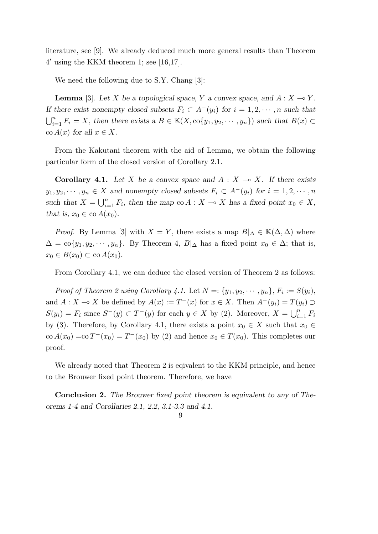literature, see [9]. We already deduced much more general results than Theorem 4 *′* using the KKM theorem 1; see [16,17].

We need the following due to S.Y. Chang [3]:

**Lemma** [3]. Let *X* be a topological space, *Y* a convex space, and  $A: X \to Y$ . *If there exist nonempty closed subsets*  $F_i \subset A^-(y_i)$  *for*  $i = 1, 2, \dots, n$  *such that*  $\bigcup_{i=1}^{n} F_i = X$ , then there exists a  $B \in \mathbb{K}(X, \text{co}\{y_1, y_2, \dots, y_n\})$  such that  $B(x) \subset$  $\operatorname{co} A(x)$  *for all*  $x \in X$ *.* 

From the Kakutani theorem with the aid of Lemma, we obtain the following particular form of the closed version of Corollary 2.1.

**Corollary 4.1.** Let *X* be a convex space and  $A: X \rightarrow X$ . If there exists  $y_1, y_2, \dots, y_n \in X$  and nonempty closed subsets  $F_i \subset A^-(y_i)$  for  $i = 1, 2, \dots, n$ such that  $X = \bigcup_{i=1}^{n} F_i$ , then the map co  $A : X \to X$  has a fixed point  $x_0 \in X$ , *that is,*  $x_0 \in \text{co } A(x_0)$ .

*Proof.* By Lemma [3] with *X* = *Y*, there exists a map  $B|_{\Delta} \in K(\Delta, \Delta)$  where  $\Delta = \text{co}\lbrace y_1, y_2, \cdots, y_n \rbrace$ . By Theorem 4,  $B|_{\Delta}$  has a fixed point  $x_0 \in \Delta$ ; that is,  $x_0 \in B(x_0) \subset \text{co } A(x_0).$ 

From Corollary 4.1, we can deduce the closed version of Theorem 2 as follows:

*Proof of Theorem 2 using Corollary 4.1.* Let  $N = \{y_1, y_2, \dots, y_n\}, F_i := S(y_i)$ , and  $A: X \to X$  be defined by  $A(x) := T^{-}(x)$  for  $x \in X$ . Then  $A^{-}(y_i) = T(y_i) \supset$  $S(y_i) = F_i$  since  $S^-(y) \subset T^-(y)$  for each  $y \in X$  by (2). Moreover,  $X = \bigcup_{i=1}^n F_i$ by (3). Therefore, by Corollary 4.1, there exists a point  $x_0 \in X$  such that  $x_0 \in$  $\cos A(x_0) = \cos T^-(x_0) = T^-(x_0)$  by (2) and hence  $x_0 \in T(x_0)$ . This completes our proof.

We already noted that Theorem 2 is eqivalent to the KKM principle, and hence to the Brouwer fixed point theorem. Therefore, we have

**Conclusion 2.** *The Brouwer fixed point theorem is equivalent to any of Theorems 1-4 and Corollaries 2.1, 2.2, 3.1-3.3 and 4.1.*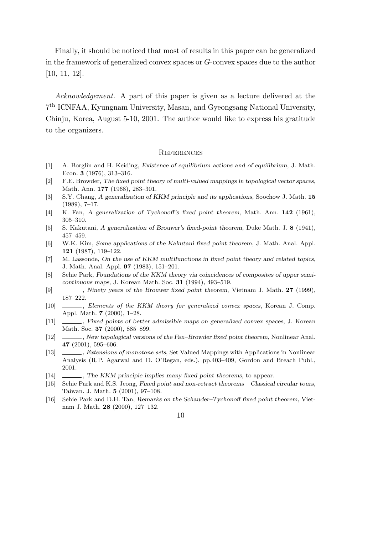Finally, it should be noticed that most of results in this paper can be generalized in the framework of generalized convex spaces or *G*-convex spaces due to the author [10, 11, 12].

*Acknowledgement.* A part of this paper is given as a lecture delivered at the 7 th ICNFAA, Kyungnam University, Masan, and Gyeongsang National University, Chinju, Korea, August 5-10, 2001. The author would like to express his gratitude to the organizers.

#### **REFERENCES**

- [1] A. Borglin and H. Keiding, *Existence of equilibrium actions and of equilibrium*, J. Math. Econ. **3** (1976), 313–316.
- [2] F.E. Browder, *The fixed point theory of multi-valued mappings in topological vector spaces*, Math. Ann. **177** (1968), 283–301.
- [3] S.Y. Chang, *A generalization of KKM principle and its applications*, Soochow J. Math. **15** (1989), 7–17.
- [4] K. Fan, *A generalization of Tychonoff's fixed point theorem*, Math. Ann. **142** (1961), 305–310.
- [5] S. Kakutani, *A generalization of Brouwer's fixed-point theorem*, Duke Math. J. **8** (1941), 457–459.
- [6] W.K. Kim, *Some applications of the Kakutani fixed point theorem*, J. Math. Anal. Appl. **121** (1987), 119–122.
- [7] M. Lassonde, *On the use of KKM multifunctions in fixed point theory and related topics*, J. Math. Anal. Appl. **97** (1983), 151–201.
- [8] Sehie Park, *Foundations of the KKM theory via coincidences of composites of upper semicontinuous maps*, J. Korean Math. Soc. **31** (1994), 493–519.
- [9] , *Ninety years of the Brouwer fixed point theorem*, Vietnam J. Math. **27** (1999), 187–222.
- [10] , *Elements of the KKM theory for generalized convex spaces*, Korean J. Comp. Appl. Math. **7** (2000), 1–28.
- [11] , *Fixed points of better admissible maps on generalized convex spaces*, J. Korean Math. Soc. **37** (2000), 885–899.
- [12] , *New topological versions of the Fan–Browder fixed point theorem*, Nonlinear Anal. **47** (2001), 595–606.
- [13] , *Extensions of monotone sets*, Set Valued Mappings with Applications in Nonlinear Analysis (R.P. Agarwal and D. O'Regan, eds.), pp.403–409, Gordon and Breach Publ., 2001.
- [14] , *The KKM principle implies many fixed point theorems*, to appear.
- [15] Sehie Park and K.S. Jeong, *Fixed point and non-retract theorems Classical circular tours*, Taiwan. J. Math. **5** (2001), 97–108.
- [16] Sehie Park and D.H. Tan, *Remarks on the Schauder–Tychonoff fixed point theorem*, Vietnam J. Math. **28** (2000), 127–132.
	- 10